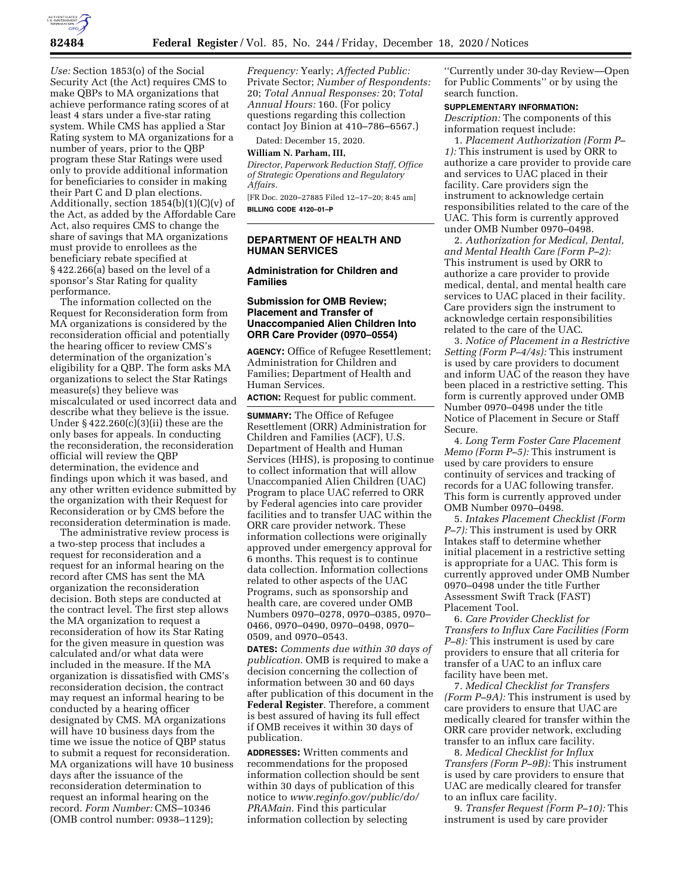

*Use:* Section 1853(o) of the Social Security Act (the Act) requires CMS to make QBPs to MA organizations that achieve performance rating scores of at least 4 stars under a five-star rating system. While CMS has applied a Star Rating system to MA organizations for a number of years, prior to the QBP program these Star Ratings were used only to provide additional information for beneficiaries to consider in making their Part C and D plan elections. Additionally, section 1854(b)(1)(C)(v) of the Act, as added by the Affordable Care Act, also requires CMS to change the share of savings that MA organizations must provide to enrollees as the beneficiary rebate specified at § 422.266(a) based on the level of a sponsor's Star Rating for quality performance.

The information collected on the Request for Reconsideration form from MA organizations is considered by the reconsideration official and potentially the hearing officer to review CMS's determination of the organization's eligibility for a QBP. The form asks MA organizations to select the Star Ratings measure(s) they believe was miscalculated or used incorrect data and describe what they believe is the issue. Under  $\S 422.260(c)(3)(ii)$  these are the only bases for appeals. In conducting the reconsideration, the reconsideration official will review the QBP determination, the evidence and findings upon which it was based, and any other written evidence submitted by the organization with their Request for Reconsideration or by CMS before the reconsideration determination is made.

The administrative review process is a two-step process that includes a request for reconsideration and a request for an informal hearing on the record after CMS has sent the MA organization the reconsideration decision. Both steps are conducted at the contract level. The first step allows the MA organization to request a reconsideration of how its Star Rating for the given measure in question was calculated and/or what data were included in the measure. If the MA organization is dissatisfied with CMS's reconsideration decision, the contract may request an informal hearing to be conducted by a hearing officer designated by CMS. MA organizations will have 10 business days from the time we issue the notice of QBP status to submit a request for reconsideration. MA organizations will have 10 business days after the issuance of the reconsideration determination to request an informal hearing on the record. *Form Number:* CMS–10346 (OMB control number: 0938–1129);

*Frequency:* Yearly; *Affected Public:*  Private Sector; *Number of Respondents:*  20; *Total Annual Responses:* 20; *Total Annual Hours:* 160. (For policy questions regarding this collection contact Joy Binion at 410–786–6567.)

Dated: December 15, 2020.

#### **William N. Parham, III,**

*Director, Paperwork Reduction Staff, Office of Strategic Operations and Regulatory Affairs.* 

[FR Doc. 2020–27885 Filed 12–17–20; 8:45 am] **BILLING CODE 4120–01–P** 

## **DEPARTMENT OF HEALTH AND HUMAN SERVICES**

### **Administration for Children and Families**

### **Submission for OMB Review; Placement and Transfer of Unaccompanied Alien Children Into ORR Care Provider (0970–0554)**

**AGENCY:** Office of Refugee Resettlement; Administration for Children and Families; Department of Health and Human Services.

**ACTION:** Request for public comment.

**SUMMARY:** The Office of Refugee Resettlement (ORR) Administration for Children and Families (ACF), U.S. Department of Health and Human Services (HHS), is proposing to continue to collect information that will allow Unaccompanied Alien Children (UAC) Program to place UAC referred to ORR by Federal agencies into care provider facilities and to transfer UAC within the ORR care provider network. These information collections were originally approved under emergency approval for 6 months. This request is to continue data collection. Information collections related to other aspects of the UAC Programs, such as sponsorship and health care, are covered under OMB Numbers 0970–0278, 0970–0385, 0970– 0466, 0970–0490, 0970–0498, 0970– 0509, and 0970–0543.

**DATES:** *Comments due within 30 days of publication.* OMB is required to make a decision concerning the collection of information between 30 and 60 days after publication of this document in the **Federal Register**. Therefore, a comment is best assured of having its full effect if OMB receives it within 30 days of publication.

**ADDRESSES:** Written comments and recommendations for the proposed information collection should be sent within 30 days of publication of this notice to *[www.reginfo.gov/public/do/](http://www.reginfo.gov/public/do/PRAMain) [PRAMain.](http://www.reginfo.gov/public/do/PRAMain)* Find this particular information collection by selecting

''Currently under 30-day Review—Open for Public Comments'' or by using the search function.

#### **SUPPLEMENTARY INFORMATION:**

*Description:* The components of this information request include:

1. *Placement Authorization (Form P– 1):* This instrument is used by ORR to authorize a care provider to provide care and services to UAC placed in their facility. Care providers sign the instrument to acknowledge certain responsibilities related to the care of the UAC. This form is currently approved under OMB Number 0970–0498.

2. *Authorization for Medical, Dental, and Mental Health Care (Form P–2):*  This instrument is used by ORR to authorize a care provider to provide medical, dental, and mental health care services to UAC placed in their facility. Care providers sign the instrument to acknowledge certain responsibilities related to the care of the UAC.

3. *Notice of Placement in a Restrictive Setting (Form P–4/4s):* This instrument is used by care providers to document and inform UAC of the reason they have been placed in a restrictive setting. This form is currently approved under OMB Number 0970–0498 under the title Notice of Placement in Secure or Staff Secure.

4. *Long Term Foster Care Placement Memo (Form P–5):* This instrument is used by care providers to ensure continuity of services and tracking of records for a UAC following transfer. This form is currently approved under OMB Number 0970–0498.

5. *Intakes Placement Checklist (Form P–7):* This instrument is used by ORR Intakes staff to determine whether initial placement in a restrictive setting is appropriate for a UAC. This form is currently approved under OMB Number 0970–0498 under the title Further Assessment Swift Track (FAST) Placement Tool.

6. *Care Provider Checklist for Transfers to Influx Care Facilities (Form P–8):* This instrument is used by care providers to ensure that all criteria for transfer of a UAC to an influx care facility have been met.

7. *Medical Checklist for Transfers (Form P–9A):* This instrument is used by care providers to ensure that UAC are medically cleared for transfer within the ORR care provider network, excluding transfer to an influx care facility.

8. *Medical Checklist for Influx Transfers (Form P–9B):* This instrument is used by care providers to ensure that UAC are medically cleared for transfer to an influx care facility.

9. *Transfer Request (Form P–10):* This instrument is used by care provider